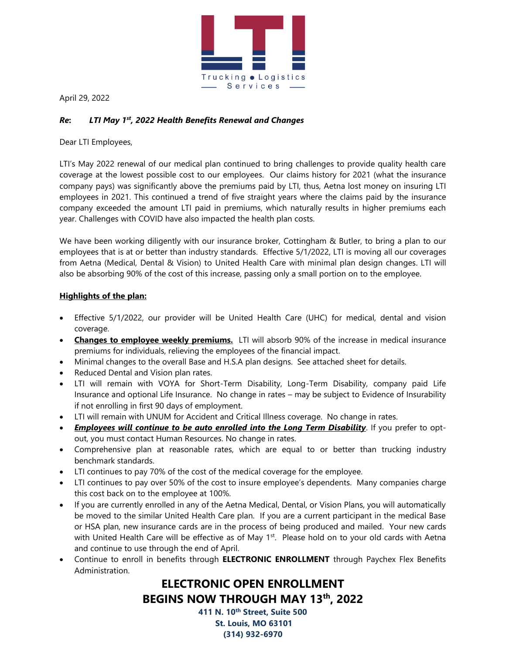

April 29, 2022

# *Re***:** *LTI May 1st, 2022 Health Benefits Renewal and Changes*

Dear LTI Employees,

LTI's May 2022 renewal of our medical plan continued to bring challenges to provide quality health care coverage at the lowest possible cost to our employees. Our claims history for 2021 (what the insurance company pays) was significantly above the premiums paid by LTI, thus, Aetna lost money on insuring LTI employees in 2021. This continued a trend of five straight years where the claims paid by the insurance company exceeded the amount LTI paid in premiums, which naturally results in higher premiums each year. Challenges with COVID have also impacted the health plan costs.

We have been working diligently with our insurance broker, Cottingham & Butler, to bring a plan to our employees that is at or better than industry standards. Effective 5/1/2022, LTI is moving all our coverages from Aetna (Medical, Dental & Vision) to United Health Care with minimal plan design changes. LTI will also be absorbing 90% of the cost of this increase, passing only a small portion on to the employee.

# **Highlights of the plan:**

- Effective 5/1/2022, our provider will be United Health Care (UHC) for medical, dental and vision coverage.
- **Changes to employee weekly premiums.** LTI will absorb 90% of the increase in medical insurance premiums for individuals, relieving the employees of the financial impact.
- Minimal changes to the overall Base and H.S.A plan designs. See attached sheet for details.
- Reduced Dental and Vision plan rates.
- LTI will remain with VOYA for Short-Term Disability, Long-Term Disability, company paid Life Insurance and optional Life Insurance. No change in rates – may be subject to Evidence of Insurability if not enrolling in first 90 days of employment.
- LTI will remain with UNUM for Accident and Critical Illness coverage. No change in rates.
- *Employees will continue to be auto enrolled into the Long Term Disability*. If you prefer to optout, you must contact Human Resources. No change in rates.
- Comprehensive plan at reasonable rates, which are equal to or better than trucking industry benchmark standards.
- LTI continues to pay 70% of the cost of the medical coverage for the employee.
- LTI continues to pay over 50% of the cost to insure employee's dependents. Many companies charge this cost back on to the employee at 100%.
- If you are currently enrolled in any of the Aetna Medical, Dental, or Vision Plans, you will automatically be moved to the similar United Health Care plan. If you are a current participant in the medical Base or HSA plan, new insurance cards are in the process of being produced and mailed. Your new cards with United Health Care will be effective as of May  $1<sup>st</sup>$ . Please hold on to your old cards with Aetna and continue to use through the end of April.
- Continue to enroll in benefits through **ELECTRONIC ENROLLMENT** through Paychex Flex Benefits Administration.

# **ELECTRONIC OPEN ENROLLMENT BEGINS NOW THROUGH MAY 13th, 2022**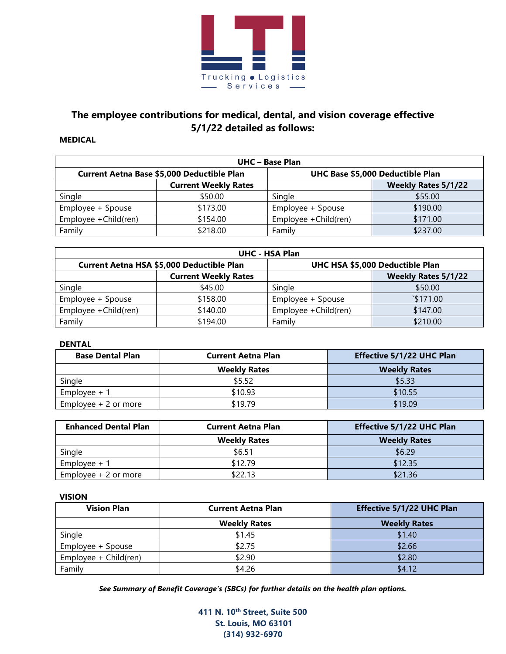

# **The employee contributions for medical, dental, and vision coverage effective 5/1/22 detailed as follows:**

#### **MEDICAL**

| <b>UHC</b> - Base Plan                     |                             |                                  |          |  |  |  |  |
|--------------------------------------------|-----------------------------|----------------------------------|----------|--|--|--|--|
| Current Aetna Base \$5,000 Deductible Plan |                             | UHC Base \$5,000 Deductible Plan |          |  |  |  |  |
|                                            | <b>Current Weekly Rates</b> | <b>Weekly Rates 5/1/22</b>       |          |  |  |  |  |
| Single                                     | \$50.00                     | Single                           | \$55.00  |  |  |  |  |
| Employee + Spouse                          | \$173.00                    | Employee + Spouse                | \$190.00 |  |  |  |  |
| Employee + Child(ren)                      | \$154.00                    | Employee +Child(ren)             | \$171.00 |  |  |  |  |
| Family                                     | \$218.00                    | Family                           | \$237.00 |  |  |  |  |

| <b>UHC - HSA Plan</b>                     |                             |                                 |                 |  |  |  |  |
|-------------------------------------------|-----------------------------|---------------------------------|-----------------|--|--|--|--|
| Current Aetna HSA \$5,000 Deductible Plan |                             | UHC HSA \$5,000 Deductible Plan |                 |  |  |  |  |
|                                           | <b>Current Weekly Rates</b> | <b>Weekly Rates 5/1/22</b>      |                 |  |  |  |  |
| Single                                    | \$45.00                     | Single                          | \$50.00         |  |  |  |  |
| Employee + Spouse                         | \$158.00                    | Employee + Spouse               | $\sqrt{171.00}$ |  |  |  |  |
| Employee + Child(ren)                     | \$140.00                    | Employee +Child(ren)            | \$147.00        |  |  |  |  |
| Family                                    | \$194.00                    | Family                          | \$210.00        |  |  |  |  |

#### **DENTAL**

| <b>Base Dental Plan</b> | <b>Current Aetna Plan</b> | <b>Effective 5/1/22 UHC Plan</b> |  |  |  |
|-------------------------|---------------------------|----------------------------------|--|--|--|
|                         | <b>Weekly Rates</b>       | <b>Weekly Rates</b>              |  |  |  |
| Single                  | \$5.52                    | \$5.33                           |  |  |  |
| Employee $+1$           | \$10.93                   | \$10.55                          |  |  |  |
| Employee $+2$ or more   | \$19.79                   | \$19.09                          |  |  |  |

| <b>Enhanced Dental Plan</b> | <b>Current Aetna Plan</b> | <b>Effective 5/1/22 UHC Plan</b> |  |  |  |
|-----------------------------|---------------------------|----------------------------------|--|--|--|
|                             | <b>Weekly Rates</b>       | <b>Weekly Rates</b>              |  |  |  |
| Single                      | \$6.51                    | \$6.29                           |  |  |  |
| Employee $+1$               | \$12.79                   | \$12.35                          |  |  |  |
| Employee + 2 or more        | \$22.13                   | \$21.36                          |  |  |  |

#### **VISION**

| <b>Vision Plan</b>    | <b>Current Aetna Plan</b> | <b>Effective 5/1/22 UHC Plan</b> |  |  |  |
|-----------------------|---------------------------|----------------------------------|--|--|--|
|                       | <b>Weekly Rates</b>       | <b>Weekly Rates</b>              |  |  |  |
| Single                | \$1.45                    | \$1.40                           |  |  |  |
| Employee + Spouse     | \$2.75                    | \$2.66                           |  |  |  |
| Employee + Child(ren) | \$2.90                    | \$2.80                           |  |  |  |
| Family                | \$4.26                    | \$4.12                           |  |  |  |

*See Summary of Benefit Coverage's (SBCs) for further details on the health plan options.*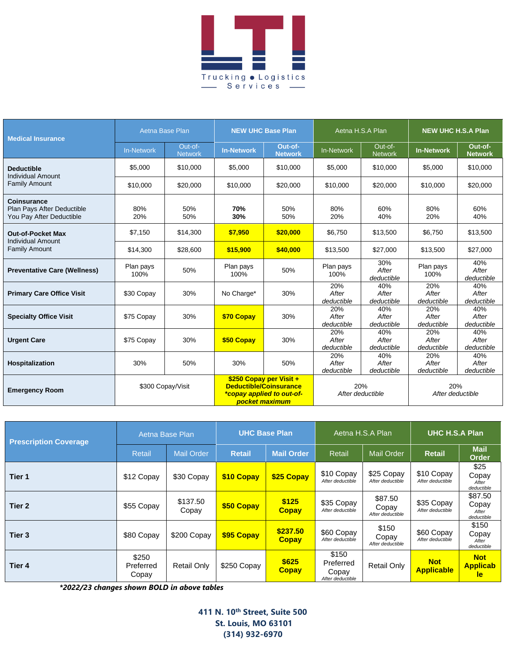

| <b>Medical Insurance</b>                                                     | Aetna Base Plan   |                           | <b>NEW UHC Base Plan</b>                                                                                |                           | Aetna H.S.A Plan           |                                                    | <b>NEW UHC H.S.A Plan</b>  |                            |
|------------------------------------------------------------------------------|-------------------|---------------------------|---------------------------------------------------------------------------------------------------------|---------------------------|----------------------------|----------------------------------------------------|----------------------------|----------------------------|
|                                                                              | <b>In-Network</b> | Out-of-<br><b>Network</b> | <b>In-Network</b>                                                                                       | Out-of-<br><b>Network</b> | <b>In-Network</b>          | Out-of-<br><b>Network</b>                          | <b>In-Network</b>          | Out-of-<br><b>Network</b>  |
| <b>Deductible</b><br><b>Individual Amount</b>                                | \$5,000           | \$10,000                  | \$5,000                                                                                                 | \$10,000                  | \$5,000                    | \$10,000                                           | \$5,000                    | \$10,000                   |
| <b>Family Amount</b>                                                         | \$10,000          | \$20,000                  | \$10,000                                                                                                | \$20,000                  | \$10,000                   | \$20,000                                           | \$10,000                   | \$20,000                   |
| <b>Coinsurance</b><br>Plan Pays After Deductible<br>You Pay After Deductible | 80%<br>20%        | 50%<br>50%                | 70%<br>30%                                                                                              | 50%<br>50%                | 80%<br>20%                 | 60%<br>40%                                         | 80%<br>20%                 | 60%<br>40%                 |
| <b>Out-of-Pocket Max</b><br><b>Individual Amount</b><br><b>Family Amount</b> | \$7,150           | \$14.300                  | \$7,950                                                                                                 | \$20,000                  | \$6.750                    | \$13,500                                           | \$6.750                    | \$13,500                   |
|                                                                              | \$14,300          | \$28,600                  | \$15,900                                                                                                | \$40,000                  | \$13,500                   | \$27,000                                           | \$13,500                   | \$27,000                   |
| <b>Preventative Care (Wellness)</b>                                          | Plan pays<br>100% | 50%                       | Plan pays<br>100%                                                                                       | 50%                       | Plan pays<br>100%          | 30%<br>After<br>deductible                         | Plan pays<br>100%          | 40%<br>After<br>deductible |
| <b>Primary Care Office Visit</b>                                             | \$30 Copay        | 30%                       | No Charge*                                                                                              | 30%                       | 20%<br>After<br>deductible | 40%<br>After<br>deductible                         | 20%<br>After<br>deductible | 40%<br>After<br>deductible |
| <b>Specialty Office Visit</b>                                                | \$75 Copay        | 30%                       | \$70 Copay                                                                                              | 30%                       | 20%<br>After<br>deductible | 40%<br>After<br>deductible                         | 20%<br>After<br>deductible | 40%<br>After<br>deductible |
| <b>Urgent Care</b>                                                           | \$75 Copay        | 30%                       | \$50 Copay                                                                                              | 30%                       | 20%<br>After<br>deductible | 40%<br>After<br>deductible                         | 20%<br>After<br>deductible | 40%<br>After<br>deductible |
| <b>Hospitalization</b>                                                       | 30%               | 50%                       | 30%                                                                                                     | 50%                       | 20%<br>After<br>deductible | 40%<br>After<br>deductible                         | 20%<br>After<br>deductible | 40%<br>After<br>deductible |
| <b>Emergency Room</b>                                                        | \$300 Copay/Visit |                           | \$250 Copay per Visit +<br><b>Deductible/Coinsurance</b><br>*copay applied to out-of-<br>pocket maximum |                           |                            | 20%<br>20%<br>After deductible<br>After deductible |                            |                            |

| <b>Prescription Coverage</b> | Aetna Base Plan             |                    | <b>UHC Base Plan</b> |                          | Aetna H.S.A Plan                                |                                      | <b>UHC H.S.A Plan</b>           |                                            |
|------------------------------|-----------------------------|--------------------|----------------------|--------------------------|-------------------------------------------------|--------------------------------------|---------------------------------|--------------------------------------------|
|                              | Retail                      | <b>Mail Order</b>  | <b>Retail</b>        | Mail Order               | Retail                                          | <b>Mail Order</b>                    | <b>Retail</b>                   | <b>Mail</b><br><b>Order</b>                |
| Tier 1                       | \$12 Copay                  | \$30 Copay         | \$10 Copay           | \$25 Copay               | \$10 Copay<br>After deductible                  | \$25 Copay<br>After deductible       | \$10 Copay<br>After deductible  | \$25<br>Copay<br>After<br>deductible       |
| Tier 2                       | \$55 Copay                  | \$137.50<br>Copay  | \$50 Copay           | \$125<br><b>Copay</b>    | \$35 Copay<br>After deductible                  | \$87.50<br>Copay<br>After deductible | \$35 Copay<br>After deductible  | \$87.50<br>Copay<br>After<br>deductible    |
| Tier <sub>3</sub>            | \$80 Copay                  | \$200 Copay        | \$95 Copay           | \$237.50<br><b>Copay</b> | \$60 Copay<br>After deductible                  | \$150<br>Copay<br>After deductible   | \$60 Copay<br>After deductible  | \$150<br>Copay<br>After<br>deductible      |
| Tier <sub>4</sub>            | \$250<br>Preferred<br>Copay | <b>Retail Only</b> | \$250 Copay          | \$625<br><b>Copay</b>    | \$150<br>Preferred<br>Copay<br>After deductible | <b>Retail Only</b>                   | <b>Not</b><br><b>Applicable</b> | <b>Not</b><br><b>Applicab</b><br><b>le</b> |

*\*2022/23 changes shown BOLD in above tables*